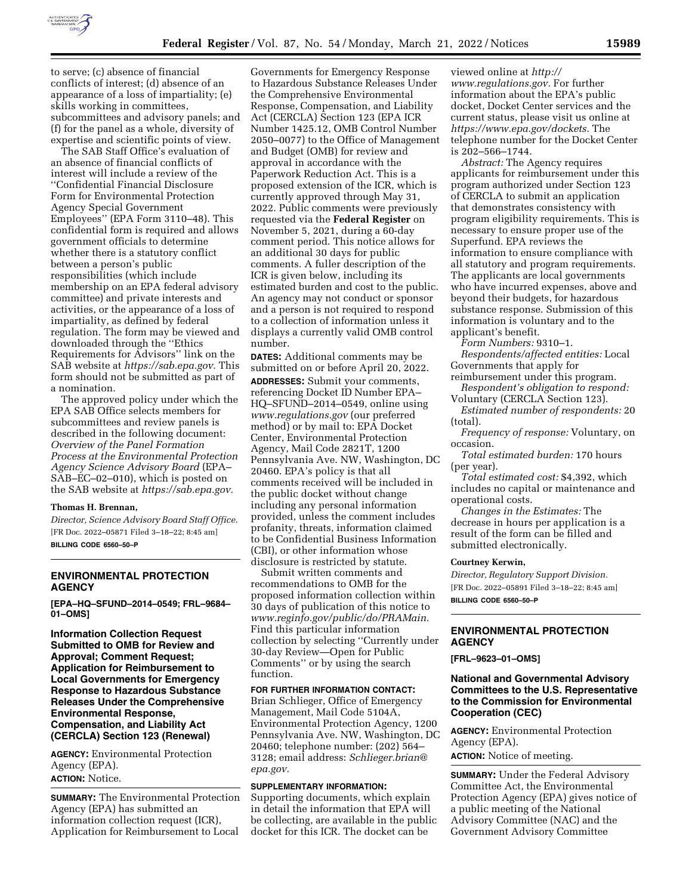

to serve; (c) absence of financial conflicts of interest; (d) absence of an appearance of a loss of impartiality; (e) skills working in committees, subcommittees and advisory panels; and (f) for the panel as a whole, diversity of expertise and scientific points of view.

The SAB Staff Office's evaluation of an absence of financial conflicts of interest will include a review of the ''Confidential Financial Disclosure Form for Environmental Protection Agency Special Government Employees'' (EPA Form 3110–48). This confidential form is required and allows government officials to determine whether there is a statutory conflict between a person's public responsibilities (which include membership on an EPA federal advisory committee) and private interests and activities, or the appearance of a loss of impartiality, as defined by federal regulation. The form may be viewed and downloaded through the ''Ethics Requirements for Advisors'' link on the SAB website at *[https://sab.epa.gov.](https://sab.epa.gov)* This form should not be submitted as part of a nomination.

The approved policy under which the EPA SAB Office selects members for subcommittees and review panels is described in the following document: *Overview of the Panel Formation Process at the Environmental Protection Agency Science Advisory Board* (EPA– SAB–EC–02–010), which is posted on the SAB website at *[https://sab.epa.gov.](https://sab.epa.gov)* 

#### **Thomas H. Brennan,**

*Director, Science Advisory Board Staff Office.*  [FR Doc. 2022–05871 Filed 3–18–22; 8:45 am] **BILLING CODE 6560–50–P** 

# **ENVIRONMENTAL PROTECTION AGENCY**

**[EPA–HQ–SFUND–2014–0549; FRL–9684– 01–OMS]** 

**Information Collection Request Submitted to OMB for Review and Approval; Comment Request; Application for Reimbursement to Local Governments for Emergency Response to Hazardous Substance Releases Under the Comprehensive Environmental Response, Compensation, and Liability Act (CERCLA) Section 123 (Renewal)** 

**AGENCY:** Environmental Protection Agency (EPA).

**ACTION:** Notice.

**SUMMARY:** The Environmental Protection Agency (EPA) has submitted an information collection request (ICR), Application for Reimbursement to Local

Governments for Emergency Response to Hazardous Substance Releases Under the Comprehensive Environmental Response, Compensation, and Liability Act (CERCLA) Section 123 (EPA ICR Number 1425.12, OMB Control Number 2050–0077) to the Office of Management and Budget (OMB) for review and approval in accordance with the Paperwork Reduction Act. This is a proposed extension of the ICR, which is currently approved through May 31, 2022. Public comments were previously requested via the **Federal Register** on November 5, 2021, during a 60-day comment period. This notice allows for an additional 30 days for public comments. A fuller description of the ICR is given below, including its estimated burden and cost to the public. An agency may not conduct or sponsor and a person is not required to respond to a collection of information unless it displays a currently valid OMB control number.

**DATES:** Additional comments may be submitted on or before April 20, 2022.

**ADDRESSES:** Submit your comments, referencing Docket ID Number EPA– HQ–SFUND–2014–0549, online using *[www.regulations.gov](http://www.regulations.gov)* (our preferred method) or by mail to: EPA Docket Center, Environmental Protection Agency, Mail Code 2821T, 1200 Pennsylvania Ave. NW, Washington, DC 20460. EPA's policy is that all comments received will be included in the public docket without change including any personal information provided, unless the comment includes profanity, threats, information claimed to be Confidential Business Information (CBI), or other information whose disclosure is restricted by statute.

Submit written comments and recommendations to OMB for the proposed information collection within 30 days of publication of this notice to *[www.reginfo.gov/public/do/PRAMain.](http://www.reginfo.gov/public/do/PRAMain)*  Find this particular information collection by selecting ''Currently under 30-day Review—Open for Public Comments'' or by using the search function.

#### **FOR FURTHER INFORMATION CONTACT:**

Brian Schlieger, Office of Emergency Management, Mail Code 5104A, Environmental Protection Agency, 1200 Pennsylvania Ave. NW, Washington, DC 20460; telephone number: (202) 564– 3128; email address: *[Schlieger.brian@](mailto:Schlieger.brian@epa.gov) [epa.gov.](mailto:Schlieger.brian@epa.gov)* 

#### **SUPPLEMENTARY INFORMATION:**

Supporting documents, which explain in detail the information that EPA will be collecting, are available in the public docket for this ICR. The docket can be

viewed online at *[http://](http://www.regulations.gov) [www.regulations.gov.](http://www.regulations.gov)* For further information about the EPA's public docket, Docket Center services and the current status, please visit us online at *[https://www.epa.gov/dockets.](https://www.epa.gov/dockets)* The telephone number for the Docket Center is 202–566–1744.

*Abstract:* The Agency requires applicants for reimbursement under this program authorized under Section 123 of CERCLA to submit an application that demonstrates consistency with program eligibility requirements. This is necessary to ensure proper use of the Superfund. EPA reviews the information to ensure compliance with all statutory and program requirements. The applicants are local governments who have incurred expenses, above and beyond their budgets, for hazardous substance response. Submission of this information is voluntary and to the applicant's benefit.

*Form Numbers:* 9310–1.

*Respondents/affected entities:* Local Governments that apply for

reimbursement under this program. *Respondent's obligation to respond:* 

Voluntary (CERCLA Section 123). *Estimated number of respondents:* 20 (total).

*Frequency of response:* Voluntary, on occasion.

*Total estimated burden:* 170 hours (per year).

*Total estimated cost:* \$4,392, which includes no capital or maintenance and operational costs.

*Changes in the Estimates:* The decrease in hours per application is a result of the form can be filled and submitted electronically.

#### **Courtney Kerwin,**

*Director, Regulatory Support Division.*  [FR Doc. 2022–05891 Filed 3–18–22; 8:45 am] **BILLING CODE 6560–50–P** 

## **ENVIRONMENTAL PROTECTION AGENCY**

**[FRL–9623–01–OMS]** 

## **National and Governmental Advisory Committees to the U.S. Representative to the Commission for Environmental Cooperation (CEC)**

**AGENCY:** Environmental Protection Agency (EPA). **ACTION:** Notice of meeting.

**SUMMARY:** Under the Federal Advisory Committee Act, the Environmental Protection Agency (EPA) gives notice of a public meeting of the National Advisory Committee (NAC) and the Government Advisory Committee